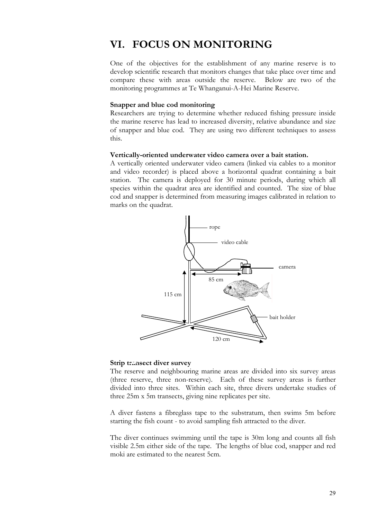# **VI. FOCUS ON MONITORING**

One of the objectives for the establishment of any marine reserve is to develop scientific research that monitors changes that take place over time and compare these with areas outside the reserve. Below are two of the monitoring programmes at Te Whanganui-A-Hei Marine Reserve.

### **Snapper and blue cod monitoring**

Researchers are trying to determine whether reduced fishing pressure inside the marine reserve has lead to increased diversity, relative abundance and size of snapper and blue cod. They are using two different techniques to assess this.

### **Vertically-oriented underwater video camera over a bait station.**

A vertically oriented underwater video camera (linked via cables to a monitor and video recorder) is placed above a horizontal quadrat containing a bait station. The camera is deployed for 30 minute periods, during which all species within the quadrat area are identified and counted. The size of blue cod and snapper is determined from measuring images calibrated in relation to marks on the quadrat.



## **Strip transect diver survey**

The reserve and neighbouring marine areas are divided into six survey areas (three reserve, three non-reserve). Each of these survey areas is further divided into three sites. Within each site, three divers undertake studies of three 25m x 5m transects, giving nine replicates per site.

A diver fastens a fibreglass tape to the substratum, then swims 5m before starting the fish count - to avoid sampling fish attracted to the diver.

The diver continues swimming until the tape is 30m long and counts all fish visible 2.5m either side of the tape. The lengths of blue cod, snapper and red moki are estimated to the nearest 5cm.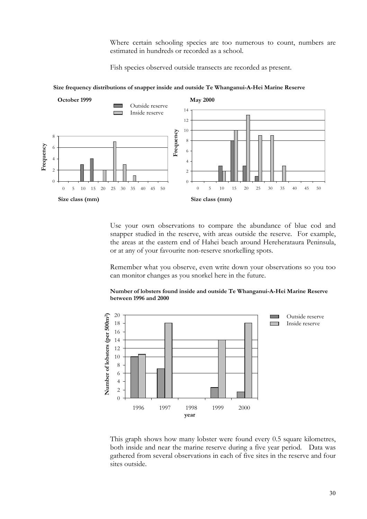Where certain schooling species are too numerous to count, numbers are estimated in hundreds or recorded as a school.

Fish species observed outside transects are recorded as present.



**Size frequency distributions of snapper inside and outside Te Whanganui-A-Hei Marine Reserve**

Use your own observations to compare the abundance of blue cod and snapper studied in the reserve, with areas outside the reserve. For example, the areas at the eastern end of Hahei beach around Hereherataura Peninsula, or at any of your favourite non-reserve snorkelling spots.

Remember what you observe, even write down your observations so you too can monitor changes as you snorkel here in the future.



#### **Number of lobsters found inside and outside Te Whanganui-A-Hei Marine Reserve between 1996 and 2000**

This graph shows how many lobster were found every 0.5 square kilometres, both inside and near the marine reserve during a five year period. Data was gathered from several observations in each of five sites in the reserve and four sites outside.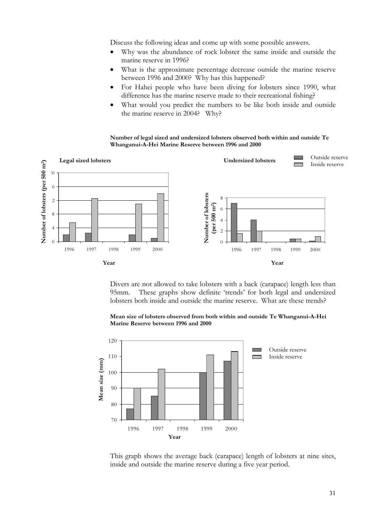Discuss the following ideas and come up with some possible answers.

- Why was the abundance of rock lobster the same inside and outside the marine reserve in 1996?
- What is the approximate percentage decrease outside the marine reserve between 1996 and 2000? Why has this happened?
- For Hahei people who have been diving for lobsters since 1990, what difference has the marine reserve made to their recreational fishing?
- What would you predict the numbers to be like both inside and outside the marine reserve in 2004? Why?

**Number of legal sized and undersized lobsters observed both within and outside Te Whanganui-A-Hei Marine Reserve between 1996 and 2000** 



Divers are not allowed to take lobsters with a back (carapace) length less than 95mm. These graphs show definite 'trends' for both legal and undersized lobsters both inside and outside the marine reserve. What are these trends?





This graph shows the average back (carapace) length of lobsters at nine sites, inside and outside the marine reserve during a five year period.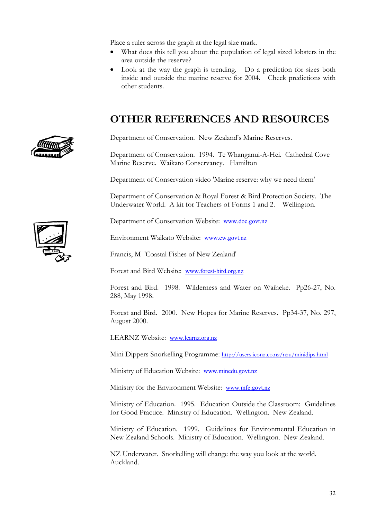Place a ruler across the graph at the legal size mark.

- What does this tell you about the population of legal sized lobsters in the area outside the reserve?
- Look at the way the graph is trending. Do a prediction for sizes both inside and outside the marine reserve for 2004. Check predictions with other students.

# **OTHER REFERENCES AND RESOURCES**

Department of Conservation. New Zealand's Marine Reserves.

Department of Conservation. 1994. Te Whanganui-A-Hei. Cathedral Cove Marine Reserve. Waikato Conservancy. Hamilton

Department of Conservation video 'Marine reserve: why we need them'

Department of Conservation & Royal Forest & Bird Protection Society. The Underwater World. A kit for Teachers of Forms 1 and 2. Wellington.

Department of Conservation Website: [www.doc.govt.nz](http://www.doc.govt.nz/)

Environment Waikato Website: [www.ew.govt.nz](http://www.ew.govt.nz/)

Francis, M 'Coastal Fishes of New Zealand'

Forest and Bird Website: [www.forest-bird.org.nz](http://www.forest-bird.org.nz/)

Forest and Bird. 1998. Wilderness and Water on Waiheke. Pp26-27, No. 288, May 1998.

Forest and Bird. 2000. New Hopes for Marine Reserves. Pp34-37, No. 297, August 2000.

LEARNZ Website: [www.learnz.org.nz](http://www.learnz.org.nz/)

Mini Dippers Snorkelling Programme:<http://users.iconz.co.nz/nzu/minidips.html>

Ministry of Education Website: [www.minedu.govt.nz](http://www.minedu.govt.nz/)

Ministry for the Environment Website: [www.mfe.govt.nz](http://www.mfe.govt.nz/)

Ministry of Education. 1995. Education Outside the Classroom: Guidelines for Good Practice. Ministry of Education. Wellington. New Zealand.

Ministry of Education. 1999. Guidelines for Environmental Education in New Zealand Schools. Ministry of Education. Wellington. New Zealand.

NZ Underwater. Snorkelling will change the way you look at the world. Auckland.